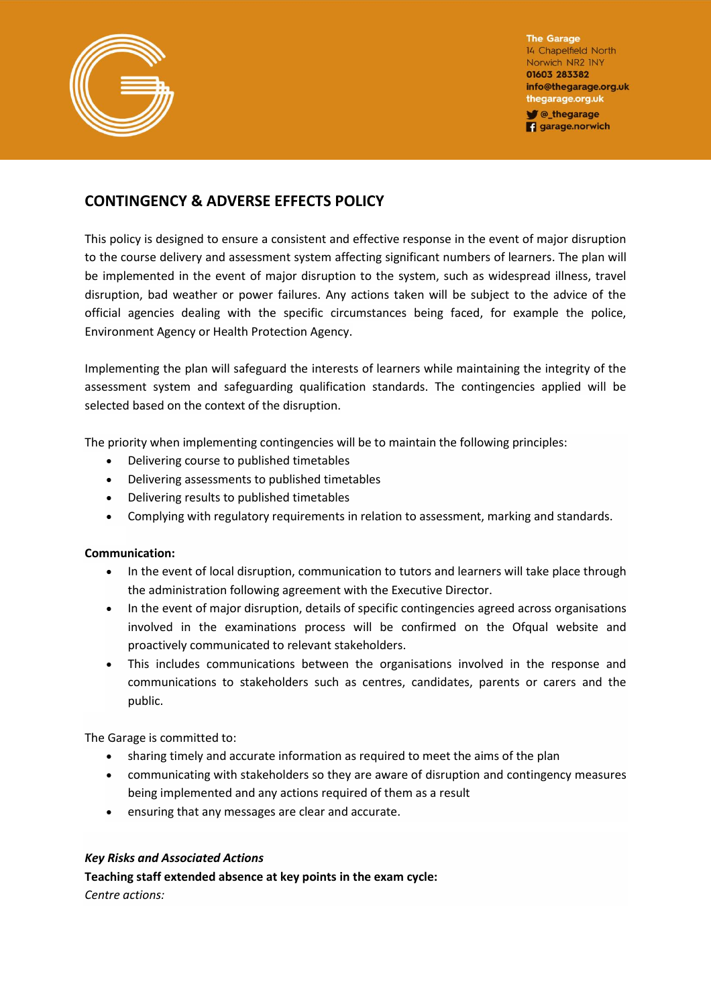

The Garage 14 Chapelfield North Norwich NR2 INY 01603 283382 info@thegarage.org.uk thegarage.org.uk Chegarage **g** garage.norwich

# **CONTINGENCY & ADVERSE EFFECTS POLICY**

This policy is designed to ensure a consistent and effective response in the event of major disruption to the course delivery and assessment system affecting significant numbers of learners. The plan will be implemented in the event of major disruption to the system, such as widespread illness, travel disruption, bad weather or power failures. Any actions taken will be subject to the advice of the official agencies dealing with the specific circumstances being faced, for example the police, Environment Agency or Health Protection Agency.

Implementing the plan will safeguard the interests of learners while maintaining the integrity of the assessment system and safeguarding qualification standards. The contingencies applied will be selected based on the context of the disruption.

The priority when implementing contingencies will be to maintain the following principles:

- Delivering course to published timetables
- Delivering assessments to published timetables
- Delivering results to published timetables
- Complying with regulatory requirements in relation to assessment, marking and standards.

# **Communication:**

- In the event of local disruption, communication to tutors and learners will take place through the administration following agreement with the Executive Director.
- In the event of major disruption, details of specific contingencies agreed across organisations involved in the examinations process will be confirmed on the Ofqual website and proactively communicated to relevant stakeholders.
- This includes communications between the organisations involved in the response and communications to stakeholders such as centres, candidates, parents or carers and the public.

The Garage is committed to:

- sharing timely and accurate information as required to meet the aims of the plan
- communicating with stakeholders so they are aware of disruption and contingency measures being implemented and any actions required of them as a result
- ensuring that any messages are clear and accurate.

# *Key Risks and Associated Actions*

**Teaching staff extended absence at key points in the exam cycle:**

*Centre actions:*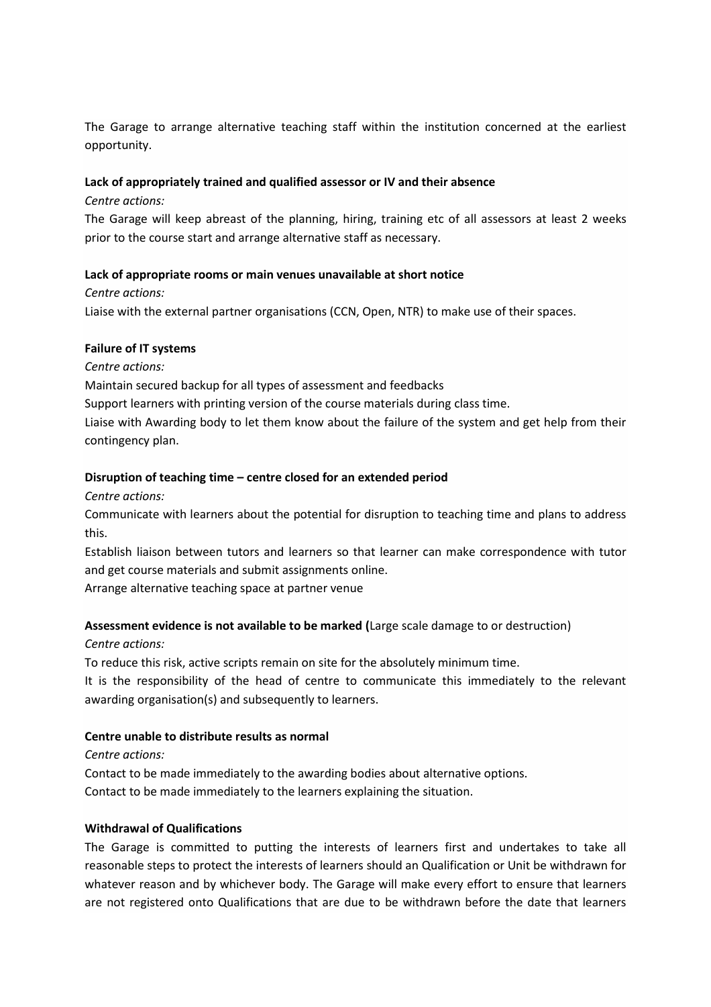The Garage to arrange alternative teaching staff within the institution concerned at the earliest opportunity.

## **Lack of appropriately trained and qualified assessor or IV and their absence**

### *Centre actions:*

The Garage will keep abreast of the planning, hiring, training etc of all assessors at least 2 weeks prior to the course start and arrange alternative staff as necessary.

## **Lack of appropriate rooms or main venues unavailable at short notice**

*Centre actions:*  Liaise with the external partner organisations (CCN, Open, NTR) to make use of their spaces.

#### **Failure of IT systems**

*Centre actions:* 

Maintain secured backup for all types of assessment and feedbacks

Support learners with printing version of the course materials during class time.

Liaise with Awarding body to let them know about the failure of the system and get help from their contingency plan.

## **Disruption of teaching time – centre closed for an extended period**

*Centre actions:* 

Communicate with learners about the potential for disruption to teaching time and plans to address this.

Establish liaison between tutors and learners so that learner can make correspondence with tutor and get course materials and submit assignments online.

Arrange alternative teaching space at partner venue

# **Assessment evidence is not available to be marked (**Large scale damage to or destruction)

*Centre actions:* 

To reduce this risk, active scripts remain on site for the absolutely minimum time.

It is the responsibility of the head of centre to communicate this immediately to the relevant awarding organisation(s) and subsequently to learners.

#### **Centre unable to distribute results as normal**

*Centre actions:* 

Contact to be made immediately to the awarding bodies about alternative options. Contact to be made immediately to the learners explaining the situation.

#### **Withdrawal of Qualifications**

The Garage is committed to putting the interests of learners first and undertakes to take all reasonable steps to protect the interests of learners should an Qualification or Unit be withdrawn for whatever reason and by whichever body. The Garage will make every effort to ensure that learners are not registered onto Qualifications that are due to be withdrawn before the date that learners